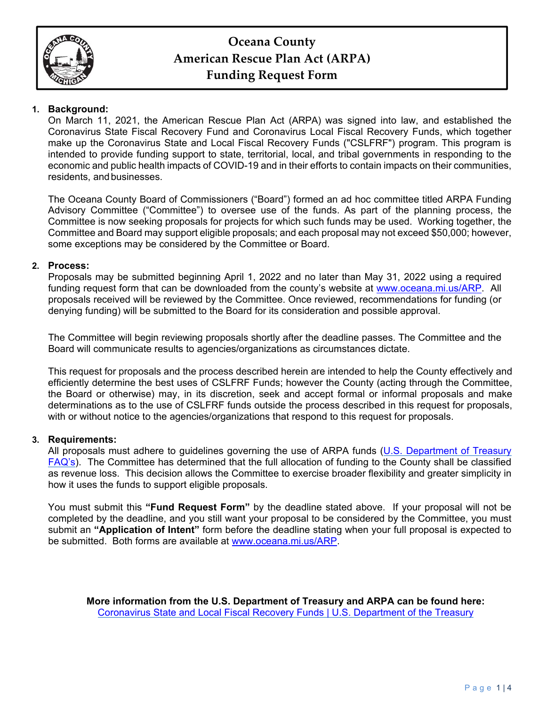

# **Oceana County American Rescue Plan Act (ARPA) Funding Request Form**

### **1. Background:**

On March 11, 2021, the American Rescue Plan Act (ARPA) was signed into law, and established the Coronavirus State Fiscal Recovery Fund and Coronavirus Local Fiscal Recovery Funds, which together make up the Coronavirus State and Local Fiscal Recovery Funds ("CSLFRF") program. This program is intended to provide funding support to state, territorial, local, and tribal governments in responding to the economic and public health impacts of COVID-19 and in their efforts to contain impacts on their communities, residents, and businesses.

The Oceana County Board of Commissioners ("Board") formed an ad hoc committee titled ARPA Funding Advisory Committee ("Committee") to oversee use of the funds. As part of the planning process, the Committee is now seeking proposals for projects for which such funds may be used. Working together, the Committee and Board may support eligible proposals; and each proposal may not exceed \$50,000; however, some exceptions may be considered by the Committee or Board.

### **2. Process:**

Proposals may be submitted beginning April 1, 2022 and no later than May 31, 2022 using a required funding request form that can be downloaded from the county's website at www.oceana.mi.us/ARP. All proposals received will be reviewed by the Committee. Once reviewed, recommendations for funding (or denying funding) will be submitted to the Board for its consideration and possible approval.

The Committee will begin reviewing proposals shortly after the deadline passes. The Committee and the Board will communicate results to agencies/organizations as circumstances dictate.

This request for proposals and the process described herein are intended to help the County effectively and efficiently determine the best uses of CSLFRF Funds; however the County (acting through the Committee, the Board or otherwise) may, in its discretion, seek and accept formal or informal proposals and make determinations as to the use of CSLFRF funds outside the process described in this request for proposals, with or without notice to the agencies/organizations that respond to this request for proposals.

#### **3. Requirements:**

All proposals must adhere to guidelines governing the use of ARPA funds (U.S. Department of Treasury FAQ's). The Committee has determined that the full allocation of funding to the County shall be classified as revenue loss. This decision allows the Committee to exercise broader flexibility and greater simplicity in how it uses the funds to support eligible proposals.

You must submit this **"Fund Request Form"** by the deadline stated above. If your proposal will not be completed by the deadline, and you still want your proposal to be considered by the Committee, you must submit an **"Application of Intent"** form before the deadline stating when your full proposal is expected to be submitted. Both forms are available at www.oceana.mi.us/ARP.

**More information from the U.S. Department of Treasury and ARPA can be found here:**  Coronavirus State and Local Fiscal Recovery Funds | U.S. Department of the Treasury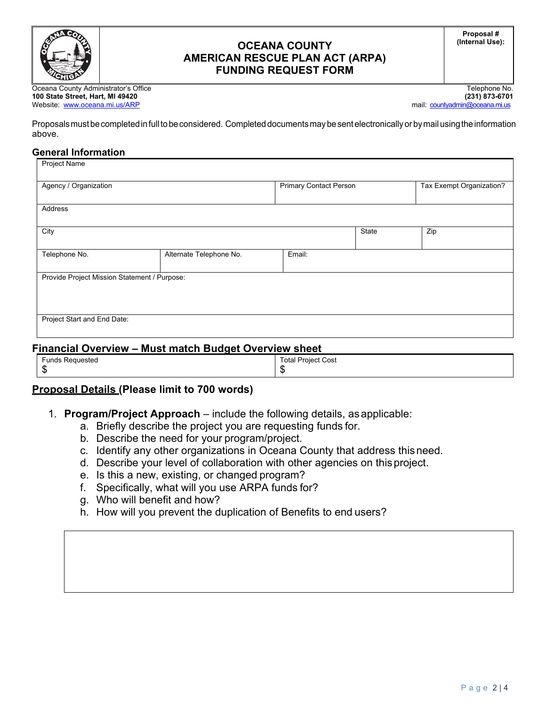

### **OCEANA COUNTY AMERICAN RESCUE PLAN ACT (ARPA) FUNDING REQUEST FORM**

**Proposal # (Internal Use):** 

Oceana County Administrator's Office<br>**100 State Street, Hart, MI 49420** (231) 273-6701 **100 State Street, Hart, MI 49420 (231) 873-6701**  Website: www.oceana.mi.us/ARP mail: countyadmin@oceana.mi.us

Proposals must be completed in full to be considered. Completed documents may be sent electronically or by mail using the information above.

#### **General Information**

| Agency / Organization                        |                         | <b>Primary Contact Person</b> |       | Tax Exempt Organization? |
|----------------------------------------------|-------------------------|-------------------------------|-------|--------------------------|
| Address                                      |                         |                               |       |                          |
| City                                         |                         |                               | State | Zip                      |
| Telephone No.                                | Alternate Telephone No. | Email:                        |       |                          |
| Provide Project Mission Statement / Purpose: |                         |                               |       |                          |
|                                              |                         |                               |       |                          |
| Project Start and End Date:                  |                         |                               |       |                          |

### **Financial Overview – Must match Budget Overview sheet**

| - -                |                           |
|--------------------|---------------------------|
| Funds<br>Requested | <b>Total Project Cost</b> |
|                    | m<br>ъĐ                   |
| w                  |                           |

### **Proposal Details (Please limit to 700 words)**

- 1. **Program/Project Approach**  include the following details, as applicable:
	- a. Briefly describe the project you are requesting funds for.
	- b. Describe the need for your program/project.
	- c. Identify any other organizations in Oceana County that address this need.
	- d. Describe your level of collaboration with other agencies on this project.
	- e. Is this a new, existing, or changed program?
	- f. Specifically, what will you use ARPA funds for?
	- g. Who will benefit and how?
	- h. How will you prevent the duplication of Benefits to end users?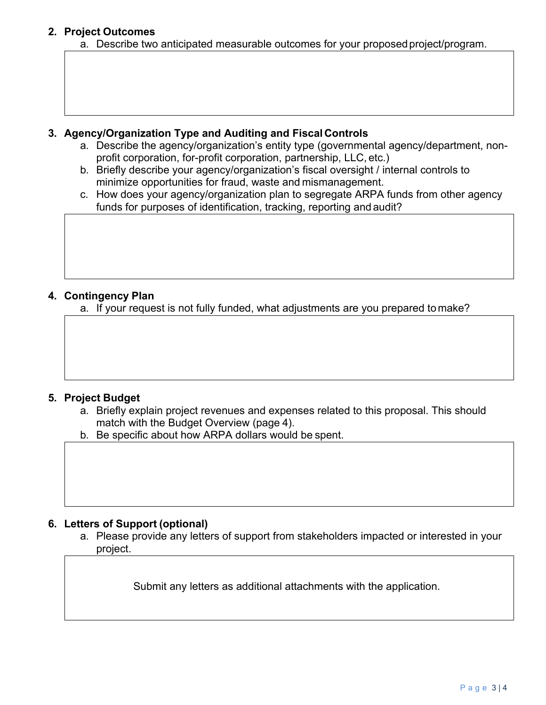## **2. Project Outcomes**

a. Describe two anticipated measurable outcomes for your proposed project/program.

### **3. Agency/Organization Type and Auditing and Fiscal Controls**

- a. Describe the agency/organization's entity type (governmental agency/department, nonprofit corporation, for-profit corporation, partnership, LLC, etc.)
- b. Briefly describe your agency/organization's fiscal oversight / internal controls to minimize opportunities for fraud, waste and mismanagement.
- c. How does your agency/organization plan to segregate ARPA funds from other agency funds for purposes of identification, tracking, reporting and audit?

## **4. Contingency Plan**

a. If your request is not fully funded, what adjustments are you prepared to make?

# **5. Project Budget**

- a. Briefly explain project revenues and expenses related to this proposal. This should match with the Budget Overview (page 4).
- b. Be specific about how ARPA dollars would be spent.

### **6. Letters of Support (optional)**

a. Please provide any letters of support from stakeholders impacted or interested in your project.

Submit any letters as additional attachments with the application.